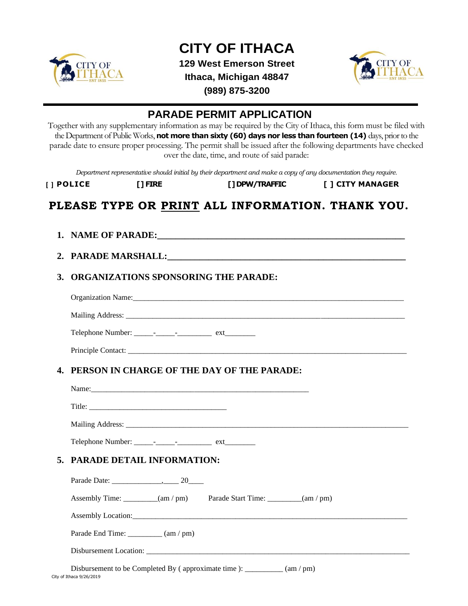

## **CITY OF ITHACA**

**129 West Emerson Street Ithaca, Michigan 48847**



**(989) 875-3200**

## **PARADE PERMIT APPLICATION**

Together with any supplementary information as may be required by the City of Ithaca, this form must be filed with the Department of Public Works, **not more than sixty (60) days nor less than fourteen (14)** days, prior to the parade date to ensure proper processing. The permit shall be issued after the following departments have checked over the date, time, and route of said parade:

*Department representative should initial by their department and make a copy of any documentation they require.*

| [ ] POLICE | [ ] FIRE | [] DPW/TRAFFIC | [ ] CITY MANAGER |
|------------|----------|----------------|------------------|
|            |          |                |                  |

## **PLEASE TYPE OR PRINT ALL INFORMATION. THANK YOU.**

- **1. NAME OF PARADE:\_\_\_\_\_\_\_\_\_\_\_\_\_\_\_\_\_\_\_\_\_\_\_\_\_\_\_\_\_\_\_\_\_\_\_\_\_\_\_\_\_\_\_\_\_\_\_\_\_\_\_\_\_\_ 2. PARADE MARSHALL:\_\_\_\_\_\_\_\_\_\_\_\_\_\_\_\_\_\_\_\_\_\_\_\_\_\_\_\_\_\_\_\_\_\_\_\_\_\_\_\_\_\_\_\_\_\_\_\_\_\_\_\_**
- **3. ORGANIZATIONS SPONSORING THE PARADE:**

Organization Name:\_\_\_\_\_\_\_\_\_\_\_\_\_\_\_\_\_\_\_\_\_\_\_\_\_\_\_\_\_\_\_\_\_\_\_\_\_\_\_\_\_\_\_\_\_\_\_\_\_\_\_\_\_\_\_\_\_\_\_\_\_\_\_\_\_\_\_\_\_\_\_ Mailing Address: \_\_\_\_\_\_\_\_\_\_\_\_\_\_\_\_\_\_\_\_\_\_\_\_\_\_\_\_\_\_\_\_\_\_\_\_\_\_\_\_\_\_\_\_\_\_\_\_\_\_\_\_\_\_\_\_\_\_\_\_\_\_\_\_\_\_\_\_\_\_\_\_\_

Telephone Number: \_\_\_\_\_\_\_-\_\_\_\_\_\_\_\_\_\_\_\_\_\_\_\_\_ ext\_\_\_\_\_\_\_\_\_\_

Principle Contact:

### **4. PERSON IN CHARGE OF THE DAY OF THE PARADE:**

| 5. PARADE DETAIL INFORMATION:                                                                |
|----------------------------------------------------------------------------------------------|
|                                                                                              |
| Assembly Time: ________(am / pm) Parade Start Time: _______(am / pm)                         |
|                                                                                              |
| Parade End Time: __________ (am / pm)                                                        |
|                                                                                              |
| Disbursement to be Completed By (approximate time): $\frac{1}{\text{tan } \theta}$ (am / pm) |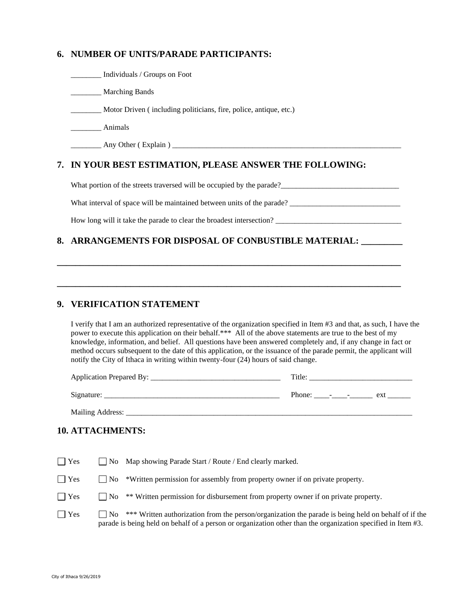#### **6. NUMBER OF UNITS/PARADE PARTICIPANTS:**

\_\_\_\_\_\_\_\_ Individuals / Groups on Foot

\_\_\_\_\_\_\_\_ Marching Bands

\_\_\_\_\_\_\_\_ Motor Driven ( including politicians, fire, police, antique, etc.)

\_\_\_\_\_\_\_\_ Animals

\_\_\_\_\_\_\_\_ Any Other ( Explain ) \_\_\_\_\_\_\_\_\_\_\_\_\_\_\_\_\_\_\_\_\_\_\_\_\_\_\_\_\_\_\_\_\_\_\_\_\_\_\_\_\_\_\_\_\_\_\_\_\_\_\_\_\_\_\_\_\_\_\_\_

#### **7. IN YOUR BEST ESTIMATION, PLEASE ANSWER THE FOLLOWING:**

What portion of the streets traversed will be occupied by the parade?\_\_\_\_\_\_\_\_\_\_\_\_\_\_\_\_\_\_\_\_\_\_\_\_\_\_\_\_\_\_\_

What interval of space will be maintained between units of the parade?

**\_\_\_\_\_\_\_\_\_\_\_\_\_\_\_\_\_\_\_\_\_\_\_\_\_\_\_\_\_\_\_\_\_\_\_\_\_\_\_\_\_\_\_\_\_\_\_\_\_\_\_\_\_\_\_\_\_\_\_\_\_\_\_\_\_\_\_\_\_\_\_\_\_\_\_**

**\_\_\_\_\_\_\_\_\_\_\_\_\_\_\_\_\_\_\_\_\_\_\_\_\_\_\_\_\_\_\_\_\_\_\_\_\_\_\_\_\_\_\_\_\_\_\_\_\_\_\_\_\_\_\_\_\_\_\_\_\_\_\_\_\_\_\_\_\_\_\_\_\_\_\_**

How long will it take the parade to clear the broadest intersection? \_\_\_\_\_\_\_\_\_\_\_\_\_\_\_\_\_\_\_\_\_\_\_\_\_\_\_\_\_\_\_\_\_

#### **8. ARRANGEMENTS FOR DISPOSAL OF CONBUSTIBLE MATERIAL: \_\_\_\_\_\_\_\_\_**

#### **9. VERIFICATION STATEMENT**

I verify that I am an authorized representative of the organization specified in Item #3 and that, as such, I have the power to execute this application on their behalf.\*\*\* All of the above statements are true to the best of my knowledge, information, and belief. All questions have been answered completely and, if any change in fact or method occurs subsequent to the date of this application, or the issuance of the parade permit, the applicant will notify the City of Ithaca in writing within twenty-four (24) hours of said change.

| Application Prepared By: | Title:                            |  |  |
|--------------------------|-----------------------------------|--|--|
| Signature:               | Phone: $\qquad$ - $\qquad$<br>ext |  |  |
| Mailing Address:         |                                   |  |  |

# **10. ATTACHMENTS:**

| $\Box$ Yes |                   | $\Box$ No Map showing Parade Start / Route / End clearly marked.                                                                                                                                                    |
|------------|-------------------|---------------------------------------------------------------------------------------------------------------------------------------------------------------------------------------------------------------------|
| $\Box$ Yes | $\blacksquare$ No | *Written permission for assembly from property owner if on private property.                                                                                                                                        |
| $\Box$ Yes | $\Box$ No         | ** Written permission for disbursement from property owner if on private property.                                                                                                                                  |
| $\Box$ Yes | $\overline{N}$    | *** Written authorization from the person/organization the parade is being held on behalf of if the<br>parade is being held on behalf of a person or organization other than the organization specified in Item #3. |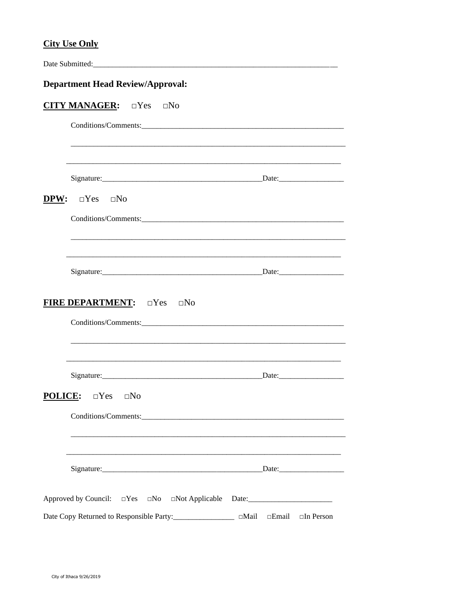#### **City Use Only**

|                                         | Date Submitted:                                                          |                               |  |  |  |  |
|-----------------------------------------|--------------------------------------------------------------------------|-------------------------------|--|--|--|--|
| <b>Department Head Review/Approval:</b> |                                                                          |                               |  |  |  |  |
|                                         | <b>CITY MANAGER:</b> OYes ONO                                            |                               |  |  |  |  |
|                                         |                                                                          |                               |  |  |  |  |
|                                         |                                                                          |                               |  |  |  |  |
|                                         |                                                                          |                               |  |  |  |  |
|                                         | <b>DPW:</b> $\Box$ Yes $\Box$ No                                         |                               |  |  |  |  |
|                                         |                                                                          |                               |  |  |  |  |
|                                         |                                                                          |                               |  |  |  |  |
|                                         |                                                                          |                               |  |  |  |  |
|                                         | <b>FIRE DEPARTMENT:</b> DYes DNo                                         |                               |  |  |  |  |
|                                         | <b>POLICE: DYes DNO</b>                                                  |                               |  |  |  |  |
|                                         |                                                                          | Date:                         |  |  |  |  |
|                                         | Approved by Council: $\Box$ Yes $\Box$ No $\Box$ Not Applicable          |                               |  |  |  |  |
|                                         | Date Copy Returned to Responsible Party:_________________<br>$\Box$ Mail | $\Box$ Email $\Box$ In Person |  |  |  |  |